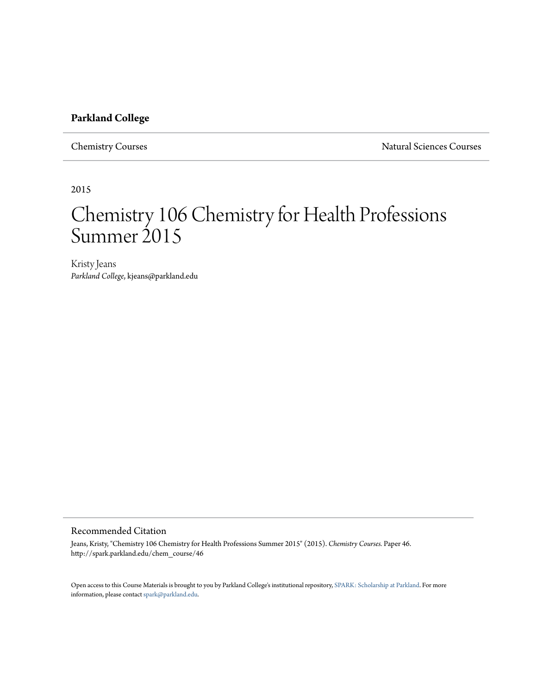# **Parkland College**

Chemistry Courses Natural Sciences Courses

2015

# Chemistry 106 Chemistry for Health Professions Summer 2015

Kristy Jeans *Parkland College*, kjeans@parkland.edu

# Recommended Citation

Jeans, Kristy, "Chemistry 106 Chemistry for Health Professions Summer 2015" (2015). *Chemistry Courses.* Paper 46. http://spark.parkland.edu/chem\_course/46

Open access to this Course Materials is brought to you by Parkland College's institutional repository, [SPARK: Scholarship at Parkland](http://spark.parkland.edu/). For more information, please contact [spark@parkland.edu](mailto:spark@parkland.edu).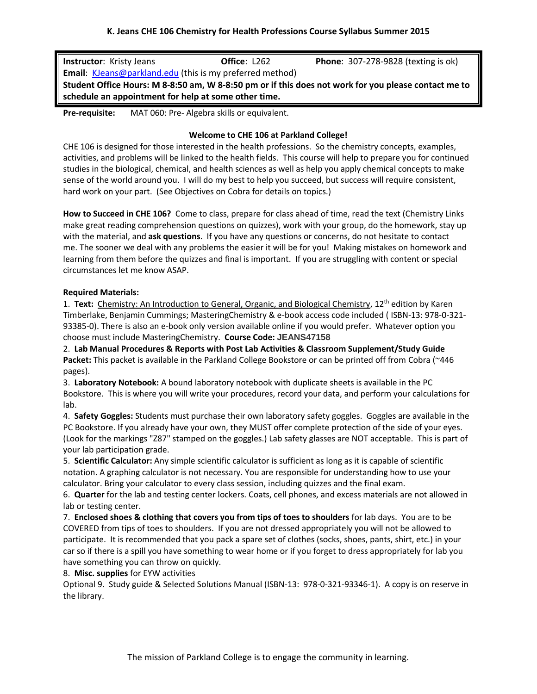| <b>Instructor:</b> Kristy Jeans                                                                      | Office: L262 | <b>Phone: 307-278-9828 (texting is ok)</b> |  |  |
|------------------------------------------------------------------------------------------------------|--------------|--------------------------------------------|--|--|
| <b>Email:</b> KJeans@parkland.edu (this is my preferred method)                                      |              |                                            |  |  |
| Student Office Hours: M 8-8:50 am, W 8-8:50 pm or if this does not work for you please contact me to |              |                                            |  |  |
| schedule an appointment for help at some other time.                                                 |              |                                            |  |  |

**Pre-requisite:** MAT 060: Pre- Algebra skills or equivalent.

# **Welcome to CHE 106 at Parkland College!**

CHE 106 is designed for those interested in the health professions. So the chemistry concepts, examples, activities, and problems will be linked to the health fields. This course will help to prepare you for continued studies in the biological, chemical, and health sciences as well as help you apply chemical concepts to make sense of the world around you. I will do my best to help you succeed, but success will require consistent, hard work on your part. (See Objectives on Cobra for details on topics.)

**How to Succeed in CHE 106?** Come to class, prepare for class ahead of time, read the text (Chemistry Links make great reading comprehension questions on quizzes), work with your group, do the homework, stay up with the material, and **ask questions**. If you have any questions or concerns, do not hesitate to contact me. The sooner we deal with any problems the easier it will be for you! Making mistakes on homework and learning from them before the quizzes and final is important. If you are struggling with content or special circumstances let me know ASAP.

# **Required Materials:**

1. Text: Chemistry: An Introduction to General, Organic, and Biological Chemistry, 12<sup>th</sup> edition by Karen Timberlake, Benjamin Cummings; MasteringChemistry & e-book access code included ( ISBN-13: 978-0-321- 93385-0). There is also an e-book only version available online if you would prefer. Whatever option you choose must include MasteringChemistry. **Course Code: JEANS47158**

2. **Lab Manual Procedures & Reports with Post Lab Activities & Classroom Supplement/Study Guide Packet:** This packet is available in the Parkland College Bookstore or can be printed off from Cobra (~446 pages).

3. **Laboratory Notebook:** A bound laboratory notebook with duplicate sheets is available in the PC Bookstore. This is where you will write your procedures, record your data, and perform your calculations for lab.

4. **Safety Goggles:** Students must purchase their own laboratory safety goggles. Goggles are available in the PC Bookstore. If you already have your own, they MUST offer complete protection of the side of your eyes. (Look for the markings "Z87" stamped on the goggles.) Lab safety glasses are NOT acceptable. This is part of your lab participation grade.

5. **Scientific Calculator:** Any simple scientific calculator is sufficient as long as it is capable of scientific notation. A graphing calculator is not necessary. You are responsible for understanding how to use your calculator. Bring your calculator to every class session, including quizzes and the final exam.

6. **Quarter** for the lab and testing center lockers. Coats, cell phones, and excess materials are not allowed in lab or testing center.

7. **Enclosed shoes & clothing that covers you from tips of toes to shoulders** for lab days. You are to be COVERED from tips of toes to shoulders. If you are not dressed appropriately you will not be allowed to participate. It is recommended that you pack a spare set of clothes (socks, shoes, pants, shirt, etc.) in your car so if there is a spill you have something to wear home or if you forget to dress appropriately for lab you have something you can throw on quickly.

# 8. **Misc. supplies** for EYW activities

Optional 9. Study guide & Selected Solutions Manual (ISBN-13: 978-0-321-93346-1). A copy is on reserve in the library.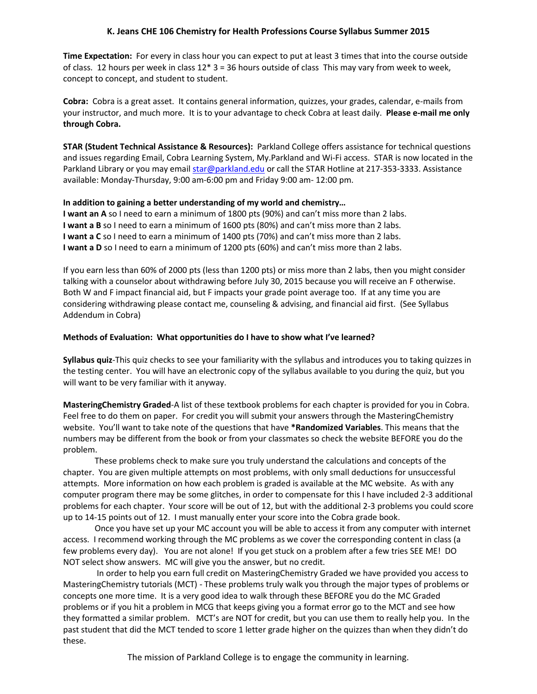**Time Expectation:** For every in class hour you can expect to put at least 3 times that into the course outside of class. 12 hours per week in class  $12*3 = 36$  hours outside of class This may vary from week to week, concept to concept, and student to student.

**Cobra:** Cobra is a great asset. It contains general information, quizzes, your grades, calendar, e-mails from your instructor, and much more. It is to your advantage to check Cobra at least daily. **Please e-mail me only through Cobra.** 

**STAR (Student Technical Assistance & Resources):** Parkland College offers assistance for technical questions and issues regarding Email, Cobra Learning System, My.Parkland and Wi-Fi access. STAR is now located in the Parkland Library or you may emai[l star@parkland.edu](mailto:star@parkland.edu) or call the STAR Hotline at 217-353-3333. Assistance available: Monday-Thursday, 9:00 am-6:00 pm and Friday 9:00 am- 12:00 pm.

# **In addition to gaining a better understanding of my world and chemistry…**

**I want an A** so I need to earn a minimum of 1800 pts (90%) and can't miss more than 2 labs. **I want a B** so I need to earn a minimum of 1600 pts (80%) and can't miss more than 2 labs. **I want a C** so I need to earn a minimum of 1400 pts (70%) and can't miss more than 2 labs. **I want a D** so I need to earn a minimum of 1200 pts (60%) and can't miss more than 2 labs.

If you earn less than 60% of 2000 pts (less than 1200 pts) or miss more than 2 labs, then you might consider talking with a counselor about withdrawing before July 30, 2015 because you will receive an F otherwise. Both W and F impact financial aid, but F impacts your grade point average too. If at any time you are considering withdrawing please contact me, counseling & advising, and financial aid first. (See Syllabus Addendum in Cobra)

#### **Methods of Evaluation: What opportunities do I have to show what I've learned?**

**Syllabus quiz**-This quiz checks to see your familiarity with the syllabus and introduces you to taking quizzes in the testing center. You will have an electronic copy of the syllabus available to you during the quiz, but you will want to be very familiar with it anyway.

**MasteringChemistry Graded**-A list of these textbook problems for each chapter is provided for you in Cobra. Feel free to do them on paper. For credit you will submit your answers through the MasteringChemistry website. You'll want to take note of the questions that have **\*Randomized Variables**. This means that the numbers may be different from the book or from your classmates so check the website BEFORE you do the problem.

These problems check to make sure you truly understand the calculations and concepts of the chapter. You are given multiple attempts on most problems, with only small deductions for unsuccessful attempts. More information on how each problem is graded is available at the MC website. As with any computer program there may be some glitches, in order to compensate for this I have included 2-3 additional problems for each chapter. Your score will be out of 12, but with the additional 2-3 problems you could score up to 14-15 points out of 12. I must manually enter your score into the Cobra grade book.

Once you have set up your MC account you will be able to access it from any computer with internet access. I recommend working through the MC problems as we cover the corresponding content in class (a few problems every day). You are not alone! If you get stuck on a problem after a few tries SEE ME! DO NOT select show answers. MC will give you the answer, but no credit.

In order to help you earn full credit on MasteringChemistry Graded we have provided you access to MasteringChemistry tutorials (MCT) - These problems truly walk you through the major types of problems or concepts one more time. It is a very good idea to walk through these BEFORE you do the MC Graded problems or if you hit a problem in MCG that keeps giving you a format error go to the MCT and see how they formatted a similar problem. MCT's are NOT for credit, but you can use them to really help you. In the past student that did the MCT tended to score 1 letter grade higher on the quizzes than when they didn't do these.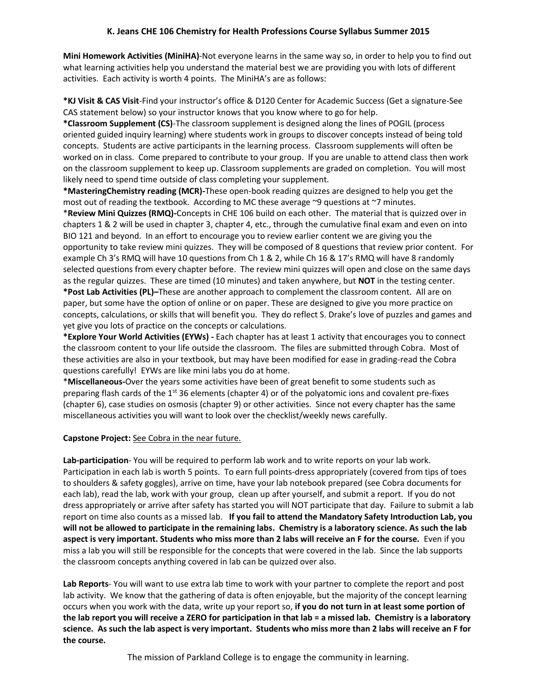**Mini Homework Activities (MiniHA)**-Not everyone learns in the same way so, in order to help you to find out what learning activities help you understand the material best we are providing you with lots of different activities. Each activity is worth 4 points. The MiniHA's are as follows:

**\*KJ Visit & CAS Visit**-Find your instructor's office & D120 Center for Academic Success (Get a signature-See CAS statement below) so your instructor knows that you know where to go for help.

**\*Classroom Supplement (CS)**-The classroom supplement is designed along the lines of POGIL (process oriented guided inquiry learning) where students work in groups to discover concepts instead of being told concepts. Students are active participants in the learning process. Classroom supplements will often be worked on in class. Come prepared to contribute to your group. If you are unable to attend class then work on the classroom supplement to keep up. Classroom supplements are graded on completion. You will most likely need to spend time outside of class completing your supplement.

**\*MasteringChemistry reading (MCR)-**These open-book reading quizzes are designed to help you get the most out of reading the textbook. According to MC these average ~9 questions at ~7 minutes. \***Review Mini Quizzes (RMQ)-**Concepts in CHE 106 build on each other. The material that is quizzed over in chapters 1 & 2 will be used in chapter 3, chapter 4, etc., through the cumulative final exam and even on into BIO 121 and beyond. In an effort to encourage you to review earlier content we are giving you the opportunity to take review mini quizzes. They will be composed of 8 questions that review prior content. For example Ch 3's RMQ will have 10 questions from Ch 1 & 2, while Ch 16 & 17's RMQ will have 8 randomly selected questions from every chapter before. The review mini quizzes will open and close on the same days as the regular quizzes. These are timed (10 minutes) and taken anywhere, but **NOT** in the testing center. **\*Post Lab Activities (PL)–**These are another approach to complement the classroom content. All are on paper, but some have the option of online or on paper. These are designed to give you more practice on concepts, calculations, or skills that will benefit you. They do reflect S. Drake's love of puzzles and games and yet give you lots of practice on the concepts or calculations.

**\*Explore Your World Activities (EYWs) -** Each chapter has at least 1 activity that encourages you to connect the classroom content to your life outside the classroom. The files are submitted through Cobra. Most of these activities are also in your textbook, but may have been modified for ease in grading-read the Cobra questions carefully! EYWs are like mini labs you do at home.

\***Miscellaneous-**Over the years some activities have been of great benefit to some students such as preparing flash cards of the 1<sup>st</sup> 36 elements (chapter 4) or of the polyatomic ions and covalent pre-fixes (chapter 6), case studies on osmosis (chapter 9) or other activities. Since not every chapter has the same miscellaneous activities you will want to look over the checklist/weekly news carefully.

# **Capstone Project:** See Cobra in the near future.

**Lab-participation**- You will be required to perform lab work and to write reports on your lab work. Participation in each lab is worth 5 points. To earn full points-dress appropriately (covered from tips of toes to shoulders & safety goggles), arrive on time, have your lab notebook prepared (see Cobra documents for each lab), read the lab, work with your group, clean up after yourself, and submit a report. If you do not dress appropriately or arrive after safety has started you will NOT participate that day. Failure to submit a lab report on time also counts as a missed lab. **If you fail to attend the Mandatory Safety Introduction Lab, you will not be allowed to participate in the remaining labs. Chemistry is a laboratory science. As such the lab aspect is very important. Students who miss more than 2 labs will receive an F for the course.** Even if you miss a lab you will still be responsible for the concepts that were covered in the lab. Since the lab supports the classroom concepts anything covered in lab can be quizzed over also.

**Lab Reports**- You will want to use extra lab time to work with your partner to complete the report and post lab activity. We know that the gathering of data is often enjoyable, but the majority of the concept learning occurs when you work with the data, write up your report so, **if you do not turn in at least some portion of the lab report you will receive a ZERO for participation in that lab = a missed lab. Chemistry is a laboratory science. As such the lab aspect is very important. Students who miss more than 2 labs will receive an F for the course.**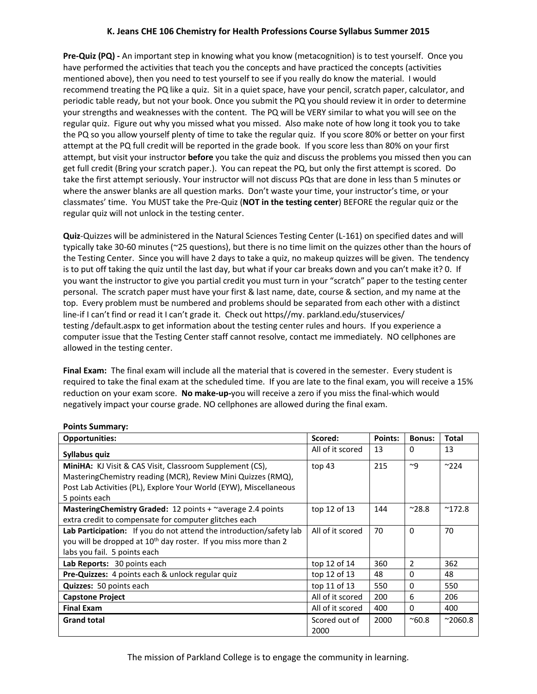**Pre-Quiz (PQ) -** An important step in knowing what you know (metacognition) is to test yourself. Once you have performed the activities that teach you the concepts and have practiced the concepts (activities mentioned above), then you need to test yourself to see if you really do know the material. I would recommend treating the PQ like a quiz. Sit in a quiet space, have your pencil, scratch paper, calculator, and periodic table ready, but not your book. Once you submit the PQ you should review it in order to determine your strengths and weaknesses with the content. The PQ will be VERY similar to what you will see on the regular quiz. Figure out why you missed what you missed. Also make note of how long it took you to take the PQ so you allow yourself plenty of time to take the regular quiz. If you score 80% or better on your first attempt at the PQ full credit will be reported in the grade book. If you score less than 80% on your first attempt, but visit your instructor **before** you take the quiz and discuss the problems you missed then you can get full credit (Bring your scratch paper.). You can repeat the PQ, but only the first attempt is scored. Do take the first attempt seriously. Your instructor will not discuss PQs that are done in less than 5 minutes or where the answer blanks are all question marks. Don't waste your time, your instructor's time, or your classmates' time. You MUST take the Pre-Quiz (**NOT in the testing center**) BEFORE the regular quiz or the regular quiz will not unlock in the testing center.

**Quiz**-Quizzes will be administered in the Natural Sciences Testing Center (L-161) on specified dates and will typically take 30-60 minutes (~25 questions), but there is no time limit on the quizzes other than the hours of the Testing Center. Since you will have 2 days to take a quiz, no makeup quizzes will be given. The tendency is to put off taking the quiz until the last day, but what if your car breaks down and you can't make it? 0. If you want the instructor to give you partial credit you must turn in your "scratch" paper to the testing center personal. The scratch paper must have your first & last name, date, course & section, and my name at the top. Every problem must be numbered and problems should be separated from each other with a distinct line-if I can't find or read it I can't grade it. Check out https//my. parkland.edu/stuservices/ testing /default.aspx to get information about the testing center rules and hours. If you experience a computer issue that the Testing Center staff cannot resolve, contact me immediately. NO cellphones are allowed in the testing center.

**Final Exam:** The final exam will include all the material that is covered in the semester. Every student is required to take the final exam at the scheduled time. If you are late to the final exam, you will receive a 15% reduction on your exam score. **No make-up-**you will receive a zero if you miss the final-which would negatively impact your course grade. NO cellphones are allowed during the final exam.

| <b>Opportunities:</b>                                                       | Scored:          | Points: | <b>Bonus:</b> | Total           |
|-----------------------------------------------------------------------------|------------------|---------|---------------|-----------------|
| Syllabus quiz                                                               | All of it scored | 13      | $\Omega$      | 13              |
| MiniHA: KJ Visit & CAS Visit, Classroom Supplement (CS),                    | top $43$         | 215     | $\sim q$      | $^{\sim}$ 224   |
| Mastering Chemistry reading (MCR), Review Mini Quizzes (RMQ),               |                  |         |               |                 |
| Post Lab Activities (PL), Explore Your World (EYW), Miscellaneous           |                  |         |               |                 |
| 5 points each                                                               |                  |         |               |                 |
| Mastering Chemistry Graded: 12 points + ~average 2.4 points                 | top 12 of 13     | 144     | $^{\sim}28.8$ | $^{\sim}$ 172.8 |
| extra credit to compensate for computer glitches each                       |                  |         |               |                 |
| Lab Participation: If you do not attend the introduction/safety lab         | All of it scored | 70      | $\Omega$      | 70              |
| you will be dropped at 10 <sup>th</sup> day roster. If you miss more than 2 |                  |         |               |                 |
| labs you fail. 5 points each                                                |                  |         |               |                 |
| Lab Reports: 30 points each                                                 | top 12 of 14     | 360     | 2             | 362             |
| <b>Pre-Quizzes:</b> 4 points each & unlock regular quiz                     | top 12 of 13     | 48      | 0             | 48              |
| <b>Quizzes:</b> 50 points each                                              | top 11 of 13     | 550     | 0             | 550             |
| <b>Capstone Project</b>                                                     | All of it scored | 200     | 6             | 206             |
| <b>Final Exam</b>                                                           | All of it scored | 400     | 0             | 400             |
| <b>Grand total</b>                                                          | Scored out of    | 2000    | $^{\sim}60.8$ | $^{\sim}2060.8$ |
|                                                                             | 2000             |         |               |                 |

#### **Points Summary:**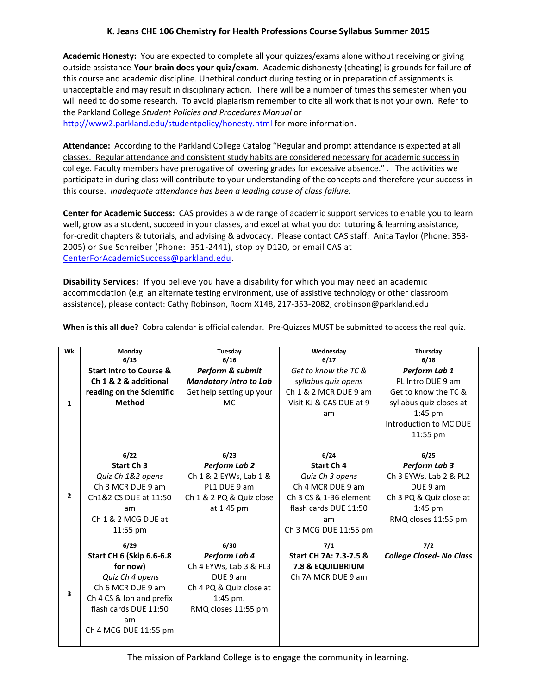**Academic Honesty:** You are expected to complete all your quizzes/exams alone without receiving or giving outside assistance-**Your brain does your quiz/exam**. Academic dishonesty (cheating) is grounds for failure of this course and academic discipline. Unethical conduct during testing or in preparation of assignments is unacceptable and may result in disciplinary action. There will be a number of times this semester when you will need to do some research. To avoid plagiarism remember to cite all work that is not your own. Refer to the Parkland College *Student Policies and Procedures Manual* or

<http://www2.parkland.edu/studentpolicy/honesty.html> for more information.

**Attendance:** According to the Parkland College Catalog "Regular and prompt attendance is expected at all classes. Regular attendance and consistent study habits are considered necessary for academic success in college. Faculty members have prerogative of lowering grades for excessive absence." . The activities we participate in during class will contribute to your understanding of the concepts and therefore your success in this course. *Inadequate attendance has been a leading cause of class failure.*

**Center for Academic Success:** CAS provides a wide range of academic support services to enable you to learn well, grow as a student, succeed in your classes, and excel at what you do: tutoring & learning assistance, for-credit chapters & tutorials, and advising & advocacy. Please contact CAS staff: Anita Taylor (Phone: 353- 2005) or Sue Schreiber (Phone: 351-2441), stop by D120, or email CAS at [CenterForAcademicSuccess@parkland.edu.](mailto:CenterForAcademicSuccess@parkland.edu)

**Disability Services:** If you believe you have a disability for which you may need an academic accommodation (e.g. an alternate testing environment, use of assistive technology or other classroom assistance), please contact: Cathy Robinson, Room X148, 217-353-2082, crobinson@parkland.edu

| Wk             | Monday                             | Tuesday                       | Wednesday                    | Thursday                        |
|----------------|------------------------------------|-------------------------------|------------------------------|---------------------------------|
|                | 6/15                               | 6/16                          | 6/17                         | 6/18                            |
|                | <b>Start Intro to Course &amp;</b> | Perform & submit              | Get to know the TC &         | Perform Lab 1                   |
|                | Ch 1 & 2 & additional              | <b>Mandatory Intro to Lab</b> | syllabus quiz opens          | PL Intro DUE 9 am               |
|                | reading on the Scientific          | Get help setting up your      | Ch 1 & 2 MCR DUE 9 am        | Get to know the TC &            |
| 1              | <b>Method</b>                      | <b>MC</b>                     | Visit KJ & CAS DUE at 9      | syllabus quiz closes at         |
|                |                                    |                               | am                           | $1:45$ pm                       |
|                |                                    |                               |                              | Introduction to MC DUE          |
|                |                                    |                               |                              | 11:55 pm                        |
|                |                                    |                               |                              |                                 |
|                | 6/22                               | 6/23                          | 6/24                         | 6/25                            |
|                | Start Ch <sub>3</sub>              | <b>Perform Lab 2</b>          | Start Ch 4                   | Perform Lab 3                   |
|                | Quiz Ch 1&2 opens                  | Ch 1 & 2 EYWs, Lab 1 &        | Quiz Ch 3 opens              | Ch 3 EYWs, Lab 2 & PL2          |
|                | Ch 3 MCR DUE 9 am                  | PL1 DUE 9 am                  | Ch 4 MCR DUE 9 am            | DUE 9 am                        |
| $\overline{2}$ | Ch1&2 CS DUE at 11:50              | Ch 1 & 2 PQ & Quiz close      | Ch 3 CS & 1-36 element       | Ch 3 PQ & Quiz close at         |
|                | am                                 | at 1:45 pm                    | flash cards DUE 11:50        | $1:45$ pm                       |
|                | Ch 1 & 2 MCG DUE at                |                               | am                           | RMQ closes 11:55 pm             |
|                | 11:55 pm                           |                               | Ch 3 MCG DUE 11:55 pm        |                                 |
|                | 6/29                               | 6/30                          | $7/1$                        | $7/2$                           |
|                | <b>Start CH 6 (Skip 6.6-6.8</b>    | Perform Lab 4                 | Start CH 7A: 7.3-7.5 &       | <b>College Closed- No Class</b> |
|                | for now)                           | Ch 4 EYWs, Lab 3 & PL3        | <b>7.8 &amp; EQUILIBRIUM</b> |                                 |
|                | Quiz Ch 4 opens                    | DUE 9 am                      | Ch 7A MCR DUE 9 am           |                                 |
| 3              | Ch 6 MCR DUE 9 am                  | Ch 4 PQ & Quiz close at       |                              |                                 |
|                | Ch 4 CS & Ion and prefix           | $1:45$ pm.                    |                              |                                 |
|                | flash cards DUE 11:50              | RMQ closes 11:55 pm           |                              |                                 |
|                | am                                 |                               |                              |                                 |
|                | Ch 4 MCG DUE 11:55 pm              |                               |                              |                                 |
|                |                                    |                               |                              |                                 |

**When is this all due?** Cobra calendar is official calendar. Pre-Quizzes MUST be submitted to access the real quiz.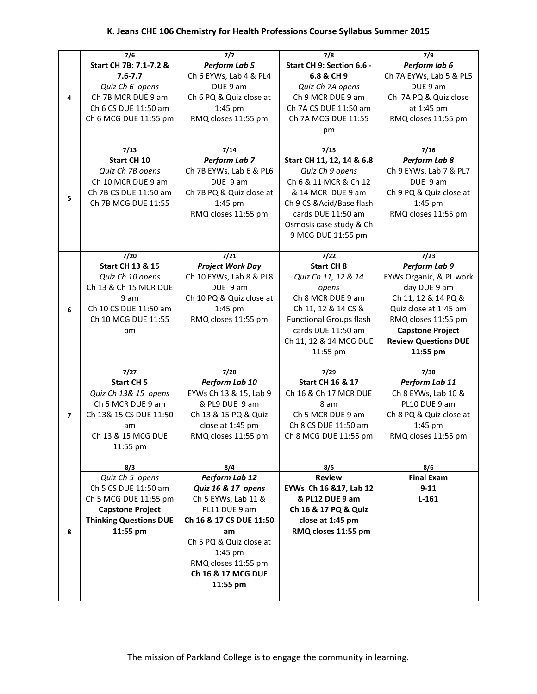|   | 7/6                           | 7/7                      | 7/8                            | 7/9                         |
|---|-------------------------------|--------------------------|--------------------------------|-----------------------------|
|   | Start CH 7B: 7.1-7.2 &        | Perform Lab 5            | Start CH 9: Section 6.6 -      | Perform lab 6               |
|   | $7.6 - 7.7$                   | Ch 6 EYWs, Lab 4 & PL4   | 6.8 & CH 9                     | Ch 7A EYWs, Lab 5 & PL5     |
|   | Quiz Ch 6 opens               | DUE 9 am                 | Quiz Ch 7A opens               | DUE 9 am                    |
| 4 | Ch 7B MCR DUE 9 am            | Ch 6 PQ & Quiz close at  | Ch 9 MCR DUE 9 am              | Ch 7A PQ & Quiz close       |
|   | Ch 6 CS DUE 11:50 am          | 1:45 pm                  | Ch 7A CS DUE 11:50 am          | at 1:45 pm                  |
|   | Ch 6 MCG DUE 11:55 pm         | RMQ closes 11:55 pm      | Ch 7A MCG DUE 11:55            | RMQ closes 11:55 pm         |
|   |                               |                          |                                |                             |
|   |                               |                          | pm                             |                             |
|   | 7/13                          | 7/14                     | 7/15                           | 7/16                        |
|   | <b>Start CH 10</b>            | Perform Lab 7            | Start CH 11, 12, 14 & 6.8      | Perform Lab 8               |
|   | Quiz Ch 7B opens              | Ch 7B EYWs, Lab 6 & PL6  | Quiz Ch 9 opens                | Ch 9 EYWs, Lab 7 & PL7      |
|   | Ch 10 MCR DUE 9 am            | DUE 9 am                 | Ch 6 & 11 MCR & Ch 12          | DUE 9 am                    |
|   | Ch 7B CS DUE 11:50 am         | Ch 7B PQ & Quiz close at | & 14 MCR DUE 9 am              | Ch 9 PQ & Quiz close at     |
| 5 |                               |                          |                                |                             |
|   | Ch 7B MCG DUE 11:55           | 1:45 pm                  | Ch 9 CS & Acid/Base flash      | 1:45 pm                     |
|   |                               | RMQ closes 11:55 pm      | cards DUE 11:50 am             | RMQ closes 11:55 pm         |
|   |                               |                          | Osmosis case study & Ch        |                             |
|   |                               |                          | 9 MCG DUE 11:55 pm             |                             |
|   | 7/20                          | 7/21                     | 7/22                           | 7/23                        |
|   | <b>Start CH 13 &amp; 15</b>   | <b>Project Work Day</b>  | <b>Start CH 8</b>              | Perform Lab 9               |
|   | Quiz Ch 10 opens              | Ch 10 EYWs, Lab 8 & PL8  | Quiz Ch 11, 12 & 14            | EYWs Organic, & PL work     |
|   | Ch 13 & Ch 15 MCR DUE         | DUE 9 am                 |                                | day DUE 9 am                |
|   |                               |                          | opens<br>Ch 8 MCR DUE 9 am     |                             |
|   | 9 am                          | Ch 10 PQ & Quiz close at |                                | Ch 11, 12 & 14 PQ &         |
| 6 | Ch 10 CS DUE 11:50 am         | 1:45 pm                  | Ch 11, 12 & 14 CS &            | Quiz close at 1:45 pm       |
|   | Ch 10 MCG DUE 11:55           | RMQ closes 11:55 pm      | <b>Functional Groups flash</b> | RMQ closes 11:55 pm         |
|   | pm                            |                          | cards DUE 11:50 am             | <b>Capstone Project</b>     |
|   |                               |                          | Ch 11, 12 & 14 MCG DUE         | <b>Review Questions DUE</b> |
|   |                               |                          | 11:55 pm                       | 11:55 pm                    |
|   | 7/27                          | 7/28                     | 7/29                           | 7/30                        |
|   | <b>Start CH 5</b>             | Perform Lab 10           | <b>Start CH 16 &amp; 17</b>    | Perform Lab 11              |
|   | Quiz Ch 13& 15 opens          | EYWs Ch 13 & 15, Lab 9   | Ch 16 & Ch 17 MCR DUE          | Ch 8 EYWs, Lab 10 &         |
|   | Ch 5 MCR DUE 9 am             | & PL9 DUE 9 am           | 8 am                           | PL10 DUE 9 am               |
| 7 | Ch 13& 15 CS DUE 11:50        | Ch 13 & 15 PQ & Quiz     | Ch 5 MCR DUE 9 am              | Ch 8 PQ & Quiz close at     |
|   | am                            | close at 1:45 pm         | Ch 8 CS DUE 11:50 am           | 1:45 pm                     |
|   | Ch 13 & 15 MCG DUE            |                          | Ch 8 MCG DUE 11:55 pm          |                             |
|   |                               | RMQ closes 11:55 pm      |                                | RMQ closes 11:55 pm         |
|   | 11:55 pm                      |                          |                                |                             |
|   | 8/3                           | 8/4                      | 8/5                            | 8/6                         |
|   | Quiz Ch 5 opens               | Perform Lab 12           | <b>Review</b>                  | <b>Final Exam</b>           |
|   | Ch 5 CS DUE 11:50 am          | Quiz 16 & 17 opens       | EYWs Ch 16 & 17, Lab 12        | $9 - 11$                    |
|   | Ch 5 MCG DUE 11:55 pm         | Ch 5 EYWs, Lab 11 &      | & PL12 DUE 9 am                | $L-161$                     |
|   | <b>Capstone Project</b>       | PL11 DUE 9 am            | Ch 16 & 17 PQ & Quiz           |                             |
|   | <b>Thinking Questions DUE</b> | Ch 16 & 17 CS DUE 11:50  | close at 1:45 pm               |                             |
| 8 | 11:55 pm                      | am                       | RMQ closes 11:55 pm            |                             |
|   |                               | Ch 5 PQ & Quiz close at  |                                |                             |
|   |                               | 1:45 pm                  |                                |                             |
|   |                               | RMQ closes 11:55 pm      |                                |                             |
|   |                               | Ch 16 & 17 MCG DUE       |                                |                             |
|   |                               |                          |                                |                             |
|   |                               | 11:55 pm                 |                                |                             |
|   |                               |                          |                                |                             |